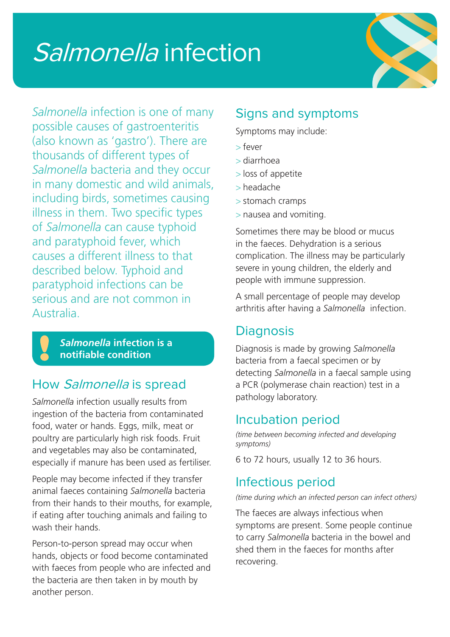# Salmonella infection



*Salmonella* infection is one of many possible causes of gastroenteritis (also known as 'gastro'). There are thousands of different types of *Salmonella* bacteria and they occur in many domestic and wild animals, including birds, sometimes causing illness in them. Two specific types of *Salmonella* can cause typhoid and paratyphoid fever, which causes a different illness to that described below. Typhoid and paratyphoid infections can be serious and are not common in Australia.

> *Salmonella* **infection is a notifiable condition**

# How Salmonella is spread

*Salmonella* infection usually results from ingestion of the bacteria from contaminated food, water or hands. Eggs, milk, meat or poultry are particularly high risk foods. Fruit and vegetables may also be contaminated, especially if manure has been used as fertiliser.

People may become infected if they transfer animal faeces containing *Salmonella* bacteria from their hands to their mouths, for example, if eating after touching animals and failing to wash their hands.

Person-to-person spread may occur when hands, objects or food become contaminated with faeces from people who are infected and the bacteria are then taken in by mouth by another person.

# Signs and symptoms

Symptoms may include:

- > fever
- > diarrhoea
- > loss of appetite
- > headache
- > stomach cramps
- > nausea and vomiting.

Sometimes there may be blood or mucus in the faeces. Dehydration is a serious complication. The illness may be particularly severe in young children, the elderly and people with immune suppression.

A small percentage of people may develop arthritis after having a *Salmonella* infection.

# **Diagnosis**

Diagnosis is made by growing *Salmonella* bacteria from a faecal specimen or by detecting *Salmonella* in a faecal sample using a PCR (polymerase chain reaction) test in a pathology laboratory.

# Incubation period

*(time between becoming infected and developing symptoms)*

6 to 72 hours, usually 12 to 36 hours.

# Infectious period

*(time during which an infected person can infect others)*

The faeces are always infectious when symptoms are present. Some people continue to carry *Salmonella* bacteria in the bowel and shed them in the faeces for months after recovering.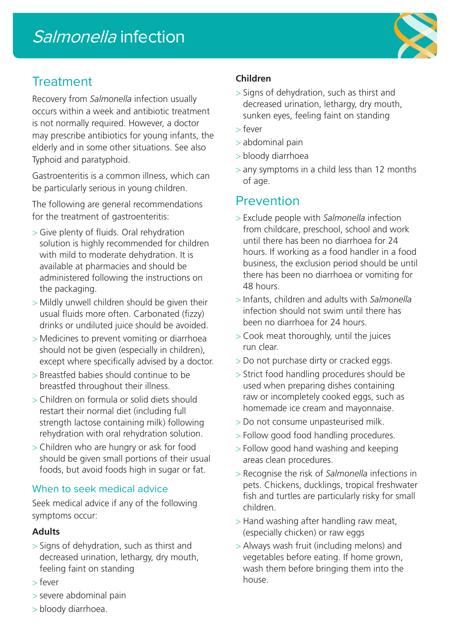# **Treatment**

Recovery from *Salmonella* infection usually occurs within a week and antibiotic treatment is not normally required. However, a doctor may prescribe antibiotics for young infants, the elderly and in some other situations. See also Typhoid and paratyphoid.

Gastroenteritis is a common illness, which can be particularly serious in young children.

The following are general recommendations for the treatment of gastroenteritis:

- > Give plenty of fluids. Oral rehydration solution is highly recommended for children with mild to moderate dehydration. It is available at pharmacies and should be administered following the instructions on the packaging.
- > Mildly unwell children should be given their usual fluids more often. Carbonated (fizzy) drinks or undiluted juice should be avoided.
- > Medicines to prevent vomiting or diarrhoea should not be given (especially in children), except where specifically advised by a doctor.
- > Breastfed babies should continue to be breastfed throughout their illness.
- > Children on formula or solid diets should restart their normal diet (including full strength lactose containing milk) following rehydration with oral rehydration solution.
- > Children who are hungry or ask for food should be given small portions of their usual foods, but avoid foods high in sugar or fat.

#### When to seek medical advice

Seek medical advice if any of the following symptoms occur:

#### **Adults**

- > Signs of dehydration, such as thirst and decreased urination, lethargy, dry mouth, feeling faint on standing
- > fever
- > severe abdominal pain

#### **Children**

- > Signs of dehydration, such as thirst and decreased urination, lethargy, dry mouth, sunken eyes, feeling faint on standing
- > fever
- > abdominal pain
- > bloody diarrhoea
- > any symptoms in a child less than 12 months of age.

# Prevention

- > Exclude people with *Salmonella* infection from childcare, preschool, school and work until there has been no diarrhoea for 24 hours. If working as a food handler in a food business, the exclusion period should be until there has been no diarrhoea or vomiting for 48 hours.
- > Infants, children and adults with *Salmonella* infection should not swim until there has been no diarrhoea for 24 hours.
- > Cook meat thoroughly, until the juices run clear.
- > Do not purchase dirty or cracked eggs.
- > Strict food handling procedures should be used when preparing dishes containing raw or incompletely cooked eggs, such as homemade ice cream and mayonnaise.
- > Do not consume unpasteurised milk.
- > Follow good food handling procedures.
- > Follow good hand washing and keeping areas clean procedures.
- > Recognise the risk of *Salmonella* infections in pets. Chickens, ducklings, tropical freshwater fish and turtles are particularly risky for small children.
- > Hand washing after handling raw meat, (especially chicken) or raw eggs
- > Always wash fruit (including melons) and vegetables before eating. If home grown, wash them before bringing them into the house.

> bloody diarrhoea.